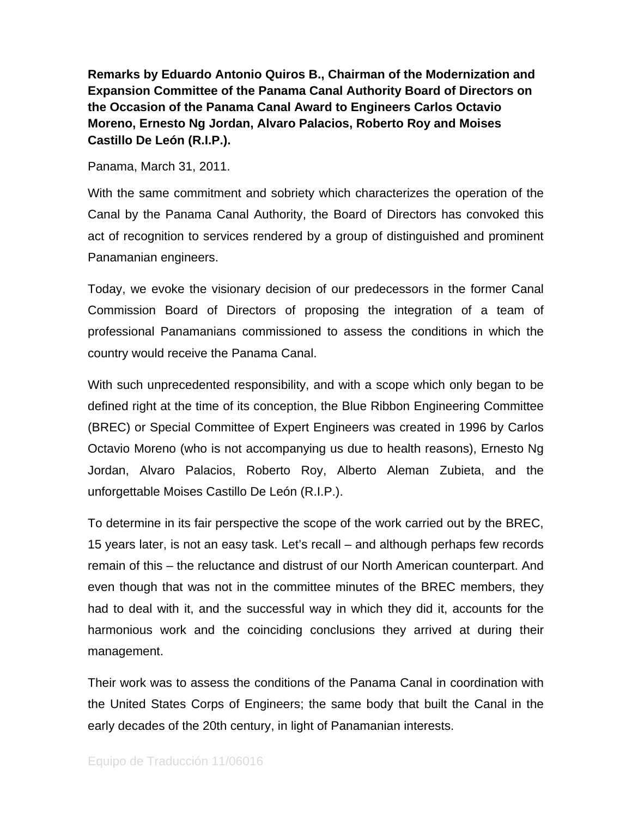**Remarks by Eduardo Antonio Quiros B., Chairman of the Modernization and Expansion Committee of the Panama Canal Authority Board of Directors on the Occasion of the Panama Canal Award to Engineers Carlos Octavio Moreno, Ernesto Ng Jordan, Alvaro Palacios, Roberto Roy and Moises Castillo De León (R.I.P.).** 

Panama, March 31, 2011.

With the same commitment and sobriety which characterizes the operation of the Canal by the Panama Canal Authority, the Board of Directors has convoked this act of recognition to services rendered by a group of distinguished and prominent Panamanian engineers.

Today, we evoke the visionary decision of our predecessors in the former Canal Commission Board of Directors of proposing the integration of a team of professional Panamanians commissioned to assess the conditions in which the country would receive the Panama Canal.

With such unprecedented responsibility, and with a scope which only began to be defined right at the time of its conception, the Blue Ribbon Engineering Committee (BREC) or Special Committee of Expert Engineers was created in 1996 by Carlos Octavio Moreno (who is not accompanying us due to health reasons), Ernesto Ng Jordan, Alvaro Palacios, Roberto Roy, Alberto Aleman Zubieta, and the unforgettable Moises Castillo De León (R.I.P.).

To determine in its fair perspective the scope of the work carried out by the BREC, 15 years later, is not an easy task. Let's recall – and although perhaps few records remain of this – the reluctance and distrust of our North American counterpart. And even though that was not in the committee minutes of the BREC members, they had to deal with it, and the successful way in which they did it, accounts for the harmonious work and the coinciding conclusions they arrived at during their management.

Their work was to assess the conditions of the Panama Canal in coordination with the United States Corps of Engineers; the same body that built the Canal in the early decades of the 20th century, in light of Panamanian interests.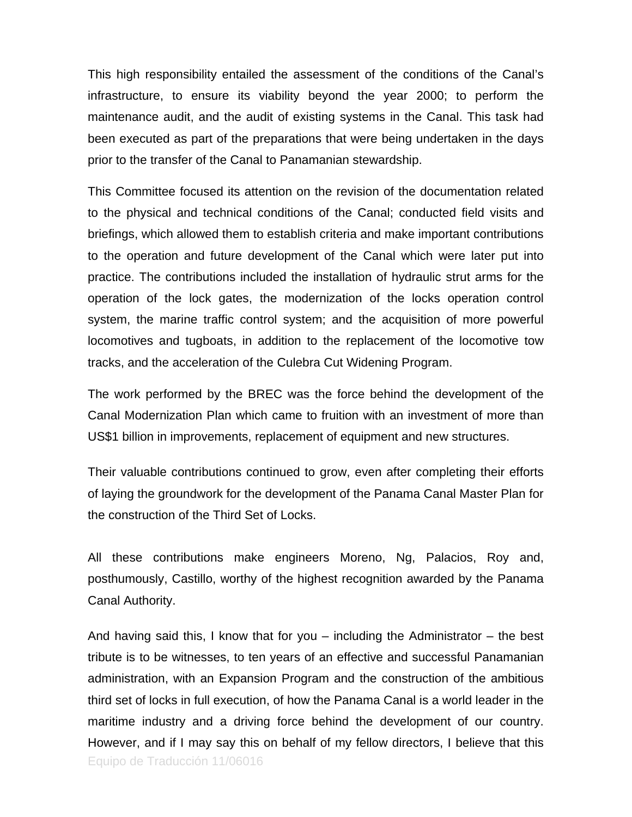This high responsibility entailed the assessment of the conditions of the Canal's infrastructure, to ensure its viability beyond the year 2000; to perform the maintenance audit, and the audit of existing systems in the Canal. This task had been executed as part of the preparations that were being undertaken in the days prior to the transfer of the Canal to Panamanian stewardship.

This Committee focused its attention on the revision of the documentation related to the physical and technical conditions of the Canal; conducted field visits and briefings, which allowed them to establish criteria and make important contributions to the operation and future development of the Canal which were later put into practice. The contributions included the installation of hydraulic strut arms for the operation of the lock gates, the modernization of the locks operation control system, the marine traffic control system; and the acquisition of more powerful locomotives and tugboats, in addition to the replacement of the locomotive tow tracks, and the acceleration of the Culebra Cut Widening Program.

The work performed by the BREC was the force behind the development of the Canal Modernization Plan which came to fruition with an investment of more than US\$1 billion in improvements, replacement of equipment and new structures.

Their valuable contributions continued to grow, even after completing their efforts of laying the groundwork for the development of the Panama Canal Master Plan for the construction of the Third Set of Locks.

All these contributions make engineers Moreno, Ng, Palacios, Roy and, posthumously, Castillo, worthy of the highest recognition awarded by the Panama Canal Authority.

Equipo de Traducción 11/06016 And having said this, I know that for you – including the Administrator – the best tribute is to be witnesses, to ten years of an effective and successful Panamanian administration, with an Expansion Program and the construction of the ambitious third set of locks in full execution, of how the Panama Canal is a world leader in the maritime industry and a driving force behind the development of our country. However, and if I may say this on behalf of my fellow directors, I believe that this